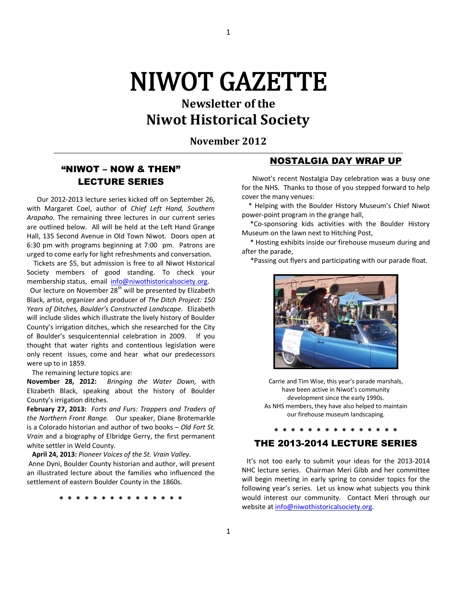# NIWOT GAZETTE

# **Newsletter of the Niwot Historical Society**

**November 2012 \_\_\_\_\_\_\_\_\_\_\_\_\_\_\_\_\_\_\_\_\_\_\_\_\_\_\_\_\_\_\_\_\_\_\_\_\_\_\_\_\_\_\_\_\_\_\_\_\_\_\_\_\_\_\_\_\_\_\_\_\_\_\_\_\_\_\_\_\_\_\_\_\_\_\_\_\_\_\_\_\_\_\_\_\_\_\_\_\_\_\_\_\_\_\_\_\_\_\_\_\_\_\_\_\_\_\_\_\_\_\_\_\_\_\_\_\_**

1

## "NIWOT – NOW & THEN" LECTURE SERIES

 Our 2012-2013 lecture series kicked off on September 26, with Margaret Coel, author of *Chief Left Hand, Southern Arapaho.* The remaining three lectures in our current series are outlined below. All will be held at the Left Hand Grange Hall, 135 Second Avenue in Old Town Niwot. Doors open at 6:30 pm with programs beginning at 7:00 pm. Patrons are urged to come early for light refreshments and conversation.

 Tickets are \$5, but admission is free to all Niwot Historical Society members of good standing. To check your membership status, email [info@niwothistoricalsociety.org.](mailto:info@niwothistoricalsociety.org)

Our lecture on November 28<sup>th</sup> will be presented by Elizabeth Black, artist, organizer and producer of *The Ditch Project: 150 Years of Ditches, Boulder's Constructed Landscape.* Elizabeth will include slides which illustrate the lively history of Boulder County's irrigation ditches, which she researched for the City of Boulder's sesquicentennial celebration in 2009. If you thought that water rights and contentious legislation were only recent issues, come and hear what our predecessors were up to in 1859.

The remaining lecture topics are:

**November 28, 2012:** *Bringing the Water Down,* with Elizabeth Black, speaking about the history of Boulder County's irrigation ditches.

**February 27, 2013:** *Forts and Furs: Trappers and Traders of the Northern Front Range.* Our speaker, Diane Brotemarkle is a Colorado historian and author of two books – *Old Fort St. Vrain* and a biography of Elbridge Gerry, the first permanent white settler in Weld County.

**April 24, 2013:** *Pioneer Voices of the St. Vrain Valley.* 

Anne Dyni, Boulder County historian and author, will present an illustrated lecture about the families who influenced the settlement of eastern Boulder County in the 1860s.

**\* \* \* \* \* \* \* \* \* \* \* \* \* \* \*** 

#### NOSTALGIA DAY WRAP UP

 Niwot's recent Nostalgia Day celebration was a busy one for the NHS. Thanks to those of you stepped forward to help cover the many venues:

 \* Helping with the Boulder History Museum's Chief Niwot power-point program in the grange hall,

 \*Co-sponsoring kids activities with the Boulder History Museum on the lawn next to Hitching Post,

 \* Hosting exhibits inside our firehouse museum during and after the parade,

\*Passing out flyers and participating with our parade float.



Carrie and Tim Wise, this year's parade marshals, have been active in Niwot's community development since the early 1990s. As NHS members, they have also helped to maintain our firehouse museum landscaping.

#### THE 2013-2014 LECTURE SERIES

**\* \* \* \* \* \* \* \* \* \* \* \* \* \* \*** 

 It's not too early to submit your ideas for the 2013-2014 NHC lecture series. Chairman Meri Gibb and her committee will begin meeting in early spring to consider topics for the following year's series. Let us know what subjects you think would interest our community. Contact Meri through our website a[t info@niwothistoricalsociety.org.](mailto:info@niwothistoricalsociety.org)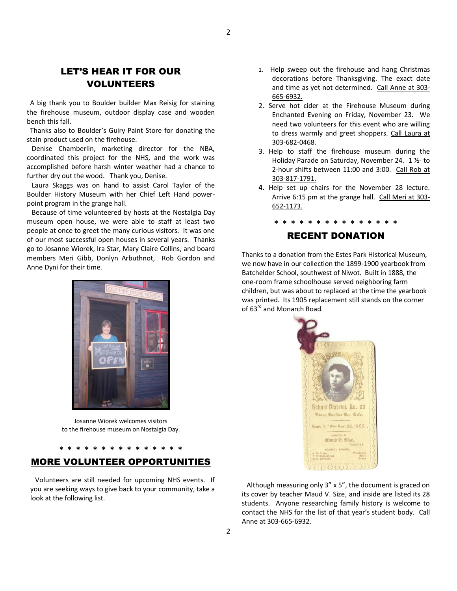# LET'S HEAR IT FOR OUR VOLUNTEERS

 A big thank you to Boulder builder Max Reisig for staining the firehouse museum, outdoor display case and wooden bench this fall.

 Thanks also to Boulder's Guiry Paint Store for donating the stain product used on the firehouse.

 Denise Chamberlin, marketing director for the NBA, coordinated this project for the NHS, and the work was accomplished before harsh winter weather had a chance to further dry out the wood. Thank you, Denise.

 Laura Skaggs was on hand to assist Carol Taylor of the Boulder History Museum with her Chief Left Hand powerpoint program in the grange hall.

 Because of time volunteered by hosts at the Nostalgia Day museum open house, we were able to staff at least two people at once to greet the many curious visitors. It was one of our most successful open houses in several years. Thanks go to Josanne Wiorek, Ira Star, Mary Claire Collins, and board members Meri Gibb, Donlyn Arbuthnot, Rob Gordon and Anne Dyni for their time.



Josanne Wiorek welcomes visitors to the firehouse museum on Nostalgia Day.

### **\* \* \* \* \* \* \* \* \* \* \* \* \* \* \***  MORE VOLUNTEER OPPORTUNITIES

 Volunteers are still needed for upcoming NHS events. If you are seeking ways to give back to your community, take a look at the following list.

- 1. Help sweep out the firehouse and hang Christmas decorations before Thanksgiving. The exact date and time as yet not determined. Call Anne at 303- 665-6932.
- 2. Serve hot cider at the Firehouse Museum during Enchanted Evening on Friday, November 23. We need two volunteers for this event who are willing to dress warmly and greet shoppers. Call Laura at 303-682-0468.
- 3. Help to staff the firehouse museum during the Holiday Parade on Saturday, November 24. 1 ½- to 2-hour shifts between 11:00 and 3:00. Call Rob at 303-817-1791.
- **4.** Help set up chairs for the November 28 lecture. Arrive 6:15 pm at the grange hall. Call Meri at 303- 652-1173.

# **\* \* \* \* \* \* \* \* \* \* \* \* \* \* \***

### RECENT DONATION

Thanks to a donation from the Estes Park Historical Museum, we now have in our collection the 1899-1900 yearbook from Batchelder School, southwest of Niwot. Built in 1888, the one-room frame schoolhouse served neighboring farm children, but was about to replaced at the time the yearbook was printed. Its 1905 replacement still stands on the corner of 63<sup>rd</sup> and Monarch Road.



 Although measuring only 3" x 5", the document is graced on its cover by teacher Maud V. Size, and inside are listed its 28 students. Anyone researching family history is welcome to contact the NHS for the list of that year's student body. Call Anne at 303-665-6932.